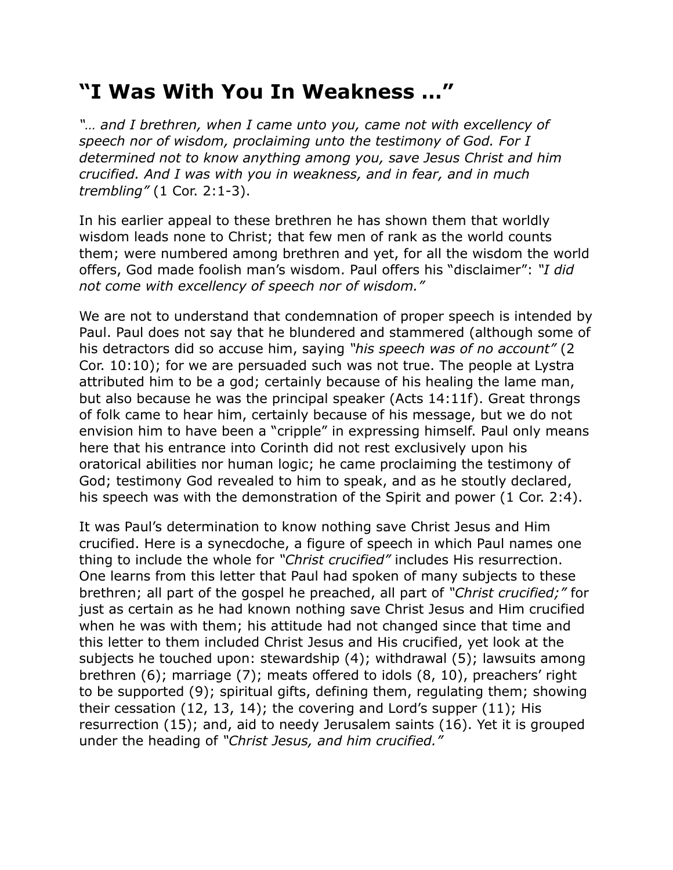## **"I Was With You In Weakness …"**

*"… and I brethren, when I came unto you, came not with excellency of speech nor of wisdom, proclaiming unto the testimony of God. For I determined not to know anything among you, save Jesus Christ and him crucified. And I was with you in weakness, and in fear, and in much trembling"* (1 Cor. 2:1-3).

In his earlier appeal to these brethren he has shown them that worldly wisdom leads none to Christ; that few men of rank as the world counts them; were numbered among brethren and yet, for all the wisdom the world offers, God made foolish man's wisdom. Paul offers his "disclaimer": *"I did not come with excellency of speech nor of wisdom."*

We are not to understand that condemnation of proper speech is intended by Paul. Paul does not say that he blundered and stammered (although some of his detractors did so accuse him, saying *"his speech was of no account"* (2 Cor. 10:10); for we are persuaded such was not true. The people at Lystra attributed him to be a god; certainly because of his healing the lame man, but also because he was the principal speaker (Acts 14:11f). Great throngs of folk came to hear him, certainly because of his message, but we do not envision him to have been a "cripple" in expressing himself. Paul only means here that his entrance into Corinth did not rest exclusively upon his oratorical abilities nor human logic; he came proclaiming the testimony of God; testimony God revealed to him to speak, and as he stoutly declared, his speech was with the demonstration of the Spirit and power (1 Cor. 2:4).

It was Paul's determination to know nothing save Christ Jesus and Him crucified. Here is a synecdoche, a figure of speech in which Paul names one thing to include the whole for *"Christ crucified"* includes His resurrection. One learns from this letter that Paul had spoken of many subjects to these brethren; all part of the gospel he preached, all part of *"Christ crucified;"* for just as certain as he had known nothing save Christ Jesus and Him crucified when he was with them; his attitude had not changed since that time and this letter to them included Christ Jesus and His crucified, yet look at the subjects he touched upon: stewardship (4); withdrawal (5); lawsuits among brethren (6); marriage (7); meats offered to idols (8, 10), preachers' right to be supported (9); spiritual gifts, defining them, regulating them; showing their cessation (12, 13, 14); the covering and Lord's supper (11); His resurrection (15); and, aid to needy Jerusalem saints (16). Yet it is grouped under the heading of *"Christ Jesus, and him crucified."*